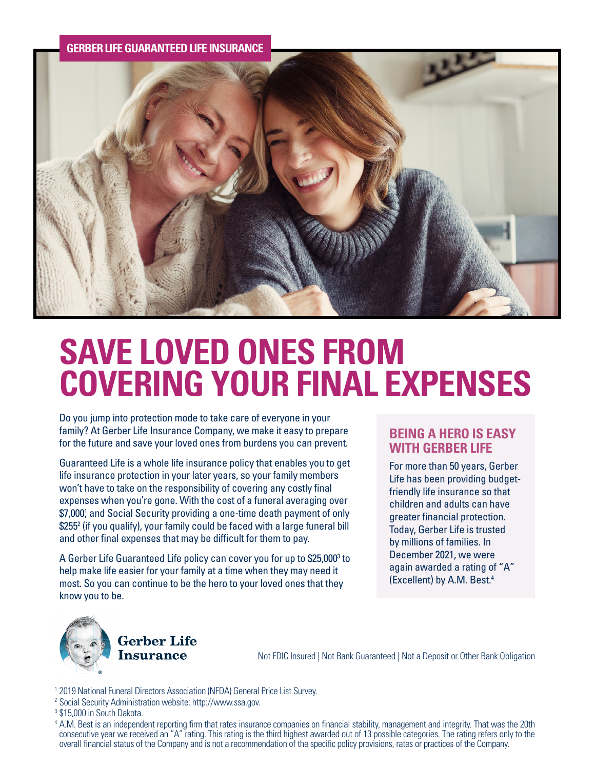## **GERBER LIFE GUARANTEED LIFE INSURANCE**



# **SAVE LOVED ONES FROM COVERING YOUR FINAL EXPENSES**

Do you jump into protection mode to take care of everyone in your family? At Gerber Life Insurance Company, we make it easy to prepare for the future and save your loved ones from burdens you can prevent.

Guaranteed Life is a whole life insurance policy that enables you to get life insurance protection in your later years, so your family members won't have to take on the responsibility of covering any costly final expenses when you're gone. With the cost of a funeral averaging over \$7,000} and Social Security providing a one-time death payment of only \$2552 (if you qualify), your family could be faced with a large funeral bill and other final expenses that may be difficult for them to pay.

A Gerber Life Guaranteed Life policy can cover you for up to \$25,000<sup>3</sup> to help make life easier for your family at a time when they may need it most. So you can continue to be the hero to your loved ones that they know you to be.

# **BEING A HERO IS EASY WITH GERBER LIFE**

For more than 50 years, Gerber Life has been providing budgetfriendly life insurance so that children and adults can have greater financial protection. Today, Gerber Life is trusted by millions of families. In December 2021, we were again awarded a rating of "A" (Excellent) by A.M. Best.4



**Gerber Life** Insurance

Not FDIC Insured | Not Bank Guaranteed | Not a Deposit or Other Bank Obligation

- <sup>1</sup> 2019 National Funeral Directors Association (NFDA) General Price List Survey.
- <sup>2</sup> Social Security Administration website: http://www.ssa.gov.
- <sup>3</sup> \$15,000 in South Dakota.

 4 A.M. Best is an independent reporting firm that rates insurance companies on financial stability, management and integrity. That was the 20th consecutive year we received an "A" rating. This rating is the third highest awarded out of 13 possible categories. The rating refers only to the overall financial status of the Company and is not a recommendation of the specific policy provisions, rates or practices of the Company.